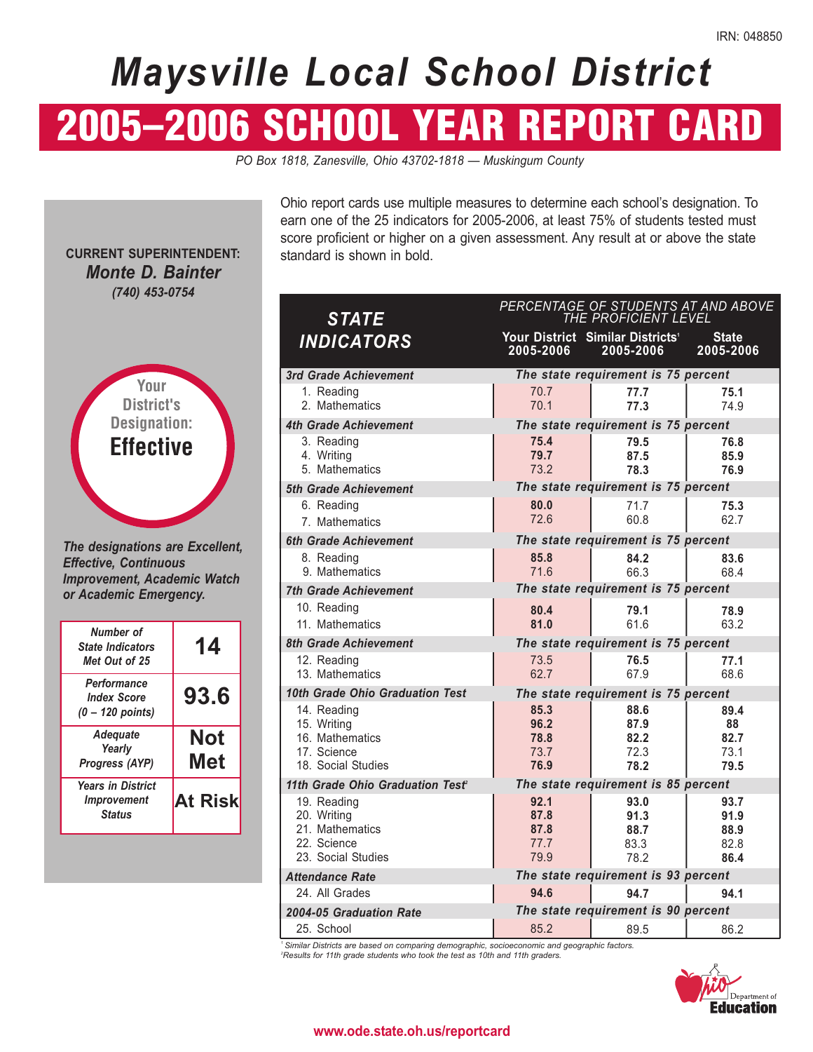# *Maysville Local School District*

# 2005–2006 SCHOOL YEAR REPORT CARD

*PO Box 1818, Zanesville, Ohio 43702-1818 — Muskingum County* 

**CURRENT SUPERINTENDENT:**  *Monte D. Bainter (740) 453-0754* 



*The designations are Excellent, Effective, Continuous Improvement, Academic Watch or Academic Emergency.* 

| Number of<br><b>State Indicators</b><br>Met Out of 25    | 14                |
|----------------------------------------------------------|-------------------|
| Performance<br><b>Index Score</b><br>(0 – 120 points)    | 93.6              |
| <b>Adequate</b><br>Yearly<br>Progress (AYP)              | <b>Not</b><br>Met |
| <b>Years in District</b><br>Improvement<br><b>Status</b> | <b>At Risk</b>    |

Ohio report cards use multiple measures to determine each school's designation. To earn one of the 25 indicators for 2005-2006, at least 75% of students tested must score proficient or higher on a given assessment. Any result at or above the state standard is shown in bold.

| <b>STATE</b>                                                                       |                                      | PERCENTAGE OF STUDENTS AT AND ABOVE<br>THE PROFICIENT LEVEL |                                      |
|------------------------------------------------------------------------------------|--------------------------------------|-------------------------------------------------------------|--------------------------------------|
| <b>INDICATORS</b>                                                                  | 2005-2006                            | Your District Similar Districts <sup>1</sup><br>2005-2006   | <b>State</b><br>2005-2006            |
| 3rd Grade Achievement                                                              |                                      | The state requirement is 75 percent                         |                                      |
| 1. Reading<br>2. Mathematics                                                       | 70.7<br>70.1                         | 77.7<br>77.3                                                | 75.1<br>74.9                         |
| <b>4th Grade Achievement</b>                                                       |                                      | The state requirement is 75 percent                         |                                      |
| 3. Reading<br>4. Writing<br>5. Mathematics                                         | 75.4<br>79.7<br>73.2                 | 79.5<br>87.5<br>78.3                                        | 76.8<br>85.9<br>76.9                 |
| 5th Grade Achievement                                                              |                                      | The state requirement is 75 percent                         |                                      |
| 6. Reading<br>7. Mathematics                                                       | 80.0<br>72.6                         | 71.7<br>60.8                                                | 75.3<br>62.7                         |
| <b>6th Grade Achievement</b>                                                       |                                      | The state requirement is 75 percent                         |                                      |
| 8. Reading<br>9. Mathematics                                                       | 85.8<br>71.6                         | 84.2<br>66.3                                                | 83.6<br>68.4                         |
| <b>7th Grade Achievement</b>                                                       |                                      | The state requirement is 75 percent                         |                                      |
| 10. Reading<br>11. Mathematics                                                     | 80.4<br>81.0                         | 79.1<br>61.6                                                | 78.9<br>63.2                         |
| <b>8th Grade Achievement</b>                                                       |                                      | The state requirement is 75 percent                         |                                      |
| 12. Reading<br>13. Mathematics                                                     | 73.5<br>62.7                         | 76.5<br>67.9                                                | 77.1<br>68.6                         |
| 10th Grade Ohio Graduation Test                                                    |                                      | The state requirement is 75 percent                         |                                      |
| 14. Reading<br>15. Writing<br>16. Mathematics<br>17. Science<br>18. Social Studies | 85.3<br>96.2<br>78.8<br>73.7<br>76.9 | 88.6<br>87.9<br>82.2<br>72.3<br>78.2                        | 89.4<br>88<br>82.7<br>73.1<br>79.5   |
| 11th Grade Ohio Graduation Test <sup>2</sup>                                       |                                      | The state requirement is 85 percent                         |                                      |
| 19. Reading<br>20. Writing<br>21. Mathematics<br>22. Science<br>23. Social Studies | 92.1<br>87.8<br>87.8<br>77.7<br>79.9 | 93.0<br>91.3<br>88.7<br>83.3<br>78.2                        | 93.7<br>91.9<br>88.9<br>82.8<br>86.4 |
| <b>Attendance Rate</b>                                                             |                                      | The state requirement is 93 percent                         |                                      |
| 24. All Grades                                                                     | 94.6                                 | 94.7                                                        | 94.1                                 |
| 2004-05 Graduation Rate                                                            |                                      | The state requirement is 90 percent                         |                                      |
| 25. School                                                                         | 85.2                                 | 89.5                                                        | 86.2                                 |

*1 Similar Districts are based on comparing demographic, socioeconomic and geographic factors. 2 Results for 11th grade students who took the test as 10th and 11th graders.* 



#### **www.ode.state.oh.us/reportcard**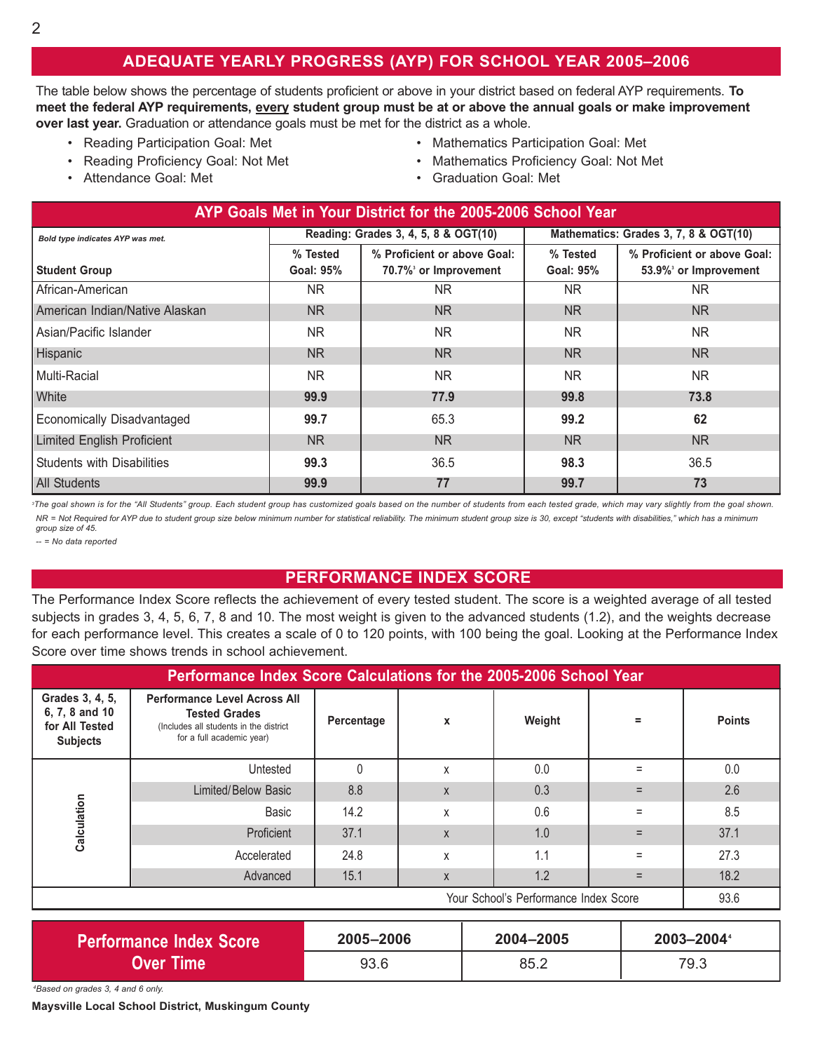## **ADEQUATE YEARLY PROGRESS (AYP) FOR SCHOOL YEAR 2005–2006**

The table below shows the percentage of students proficient or above in your district based on federal AYP requirements. To **meet the federal AYP requirements, every student group must be at or above the annual goals or make improvement over last year.** Graduation or attendance goals must be met for the district as a whole.

- 
- 
- 
- Reading Participation Goal: Met Mathematics Participation Goal: Met
- Reading Proficiency Goal: Not Met Mathematics Proficiency Goal: Not Met
- Attendance Goal: Met Graduation Goal: Met Graduation Goal: Met

| AYP Goals Met in Your District for the 2005-2006 School Year |                              |                                                     |                                       |                                                     |  |  |  |  |
|--------------------------------------------------------------|------------------------------|-----------------------------------------------------|---------------------------------------|-----------------------------------------------------|--|--|--|--|
| Bold type indicates AYP was met.                             |                              | Reading: Grades 3, 4, 5, 8 & OGT(10)                | Mathematics: Grades 3, 7, 8 & OGT(10) |                                                     |  |  |  |  |
| <b>Student Group</b>                                         | % Tested<br><b>Goal: 95%</b> | % Proficient or above Goal:<br>70.7% or Improvement | % Tested<br><b>Goal: 95%</b>          | % Proficient or above Goal:<br>53.9% or Improvement |  |  |  |  |
| African-American                                             | NR.                          | <b>NR</b>                                           | NR.                                   | NR.                                                 |  |  |  |  |
| American Indian/Native Alaskan                               | NR.                          | N <sub>R</sub>                                      | NR.                                   | NR.                                                 |  |  |  |  |
| Asian/Pacific Islander                                       | NR.                          | <b>NR</b>                                           | NR.                                   | <b>NR</b>                                           |  |  |  |  |
| Hispanic                                                     | NR.                          | <b>NR</b>                                           | <b>NR</b>                             | <b>NR</b>                                           |  |  |  |  |
| Multi-Racial                                                 | NR.                          | <b>NR</b>                                           | NR.                                   | NR.                                                 |  |  |  |  |
| White                                                        | 99.9                         | 77.9                                                | 99.8                                  | 73.8                                                |  |  |  |  |
| Economically Disadvantaged                                   | 99.7                         | 65.3                                                | 99.2                                  | 62                                                  |  |  |  |  |
| <b>Limited English Proficient</b>                            | NR.                          | <b>NR</b>                                           | NR.                                   | <b>NR</b>                                           |  |  |  |  |
| <b>Students with Disabilities</b>                            | 99.3                         | 36.5                                                | 98.3                                  | 36.5                                                |  |  |  |  |
| <b>All Students</b>                                          | 99.9                         | 77                                                  | 99.7                                  | 73                                                  |  |  |  |  |

<sup>3</sup>The goal shown is for the "All Students" group. Each student group has customized goals based on the number of students from each tested grade, which may vary slightly from the goal shown. *NR = Not Required for AYP due to student group size below minimum number for statistical reliability. The minimum student group size is 30, except "students with disabilities," which has a minimum group size of 45.* 

*-- = No data reported* 

### **PERFORMANCE INDEX SCORE**

The Performance Index Score reflects the achievement of every tested student. The score is a weighted average of all tested subjects in grades 3, 4, 5, 6, 7, 8 and 10. The most weight is given to the advanced students (1.2), and the weights decrease for each performance level. This creates a scale of 0 to 120 points, with 100 being the goal. Looking at the Performance Index Score over time shows trends in school achievement.

| Performance Index Score Calculations for the 2005-2006 School Year     |                                                                                                                                    |            |   |        |     |               |  |  |
|------------------------------------------------------------------------|------------------------------------------------------------------------------------------------------------------------------------|------------|---|--------|-----|---------------|--|--|
| Grades 3, 4, 5,<br>6, 7, 8 and 10<br>for All Tested<br><b>Subjects</b> | <b>Performance Level Across All</b><br><b>Tested Grades</b><br>(Includes all students in the district<br>for a full academic year) | Percentage | X | Weight | $=$ | <b>Points</b> |  |  |
|                                                                        | Untested                                                                                                                           | $\theta$   | X | 0.0    | Ξ   | 0.0           |  |  |
|                                                                        | Limited/Below Basic                                                                                                                | 8.8        | X | 0.3    |     | 2.6           |  |  |
| Calculation                                                            | Basic                                                                                                                              | 14.2       | X | 0.6    | Ξ   | 8.5           |  |  |
|                                                                        | Proficient                                                                                                                         | 37.1       | X | 1.0    | $=$ | 37.1          |  |  |
|                                                                        | Accelerated                                                                                                                        | 24.8       | X | 1.1    | $=$ | 27.3          |  |  |
|                                                                        | Advanced                                                                                                                           | 15.1       | X | 1.2    | $=$ | 18.2          |  |  |
| Your School's Performance Index Score                                  |                                                                                                                                    |            |   |        |     |               |  |  |

| <b>Performance Index Score</b> | 2005-2006 | 2004-2005 | 2003-2004 |
|--------------------------------|-----------|-----------|-----------|
| Over Time                      | 93.6      | 85.2      | 79.3      |

*4 Based on grades 3, 4 and 6 only.* 

**Maysville Local School District, Muskingum County**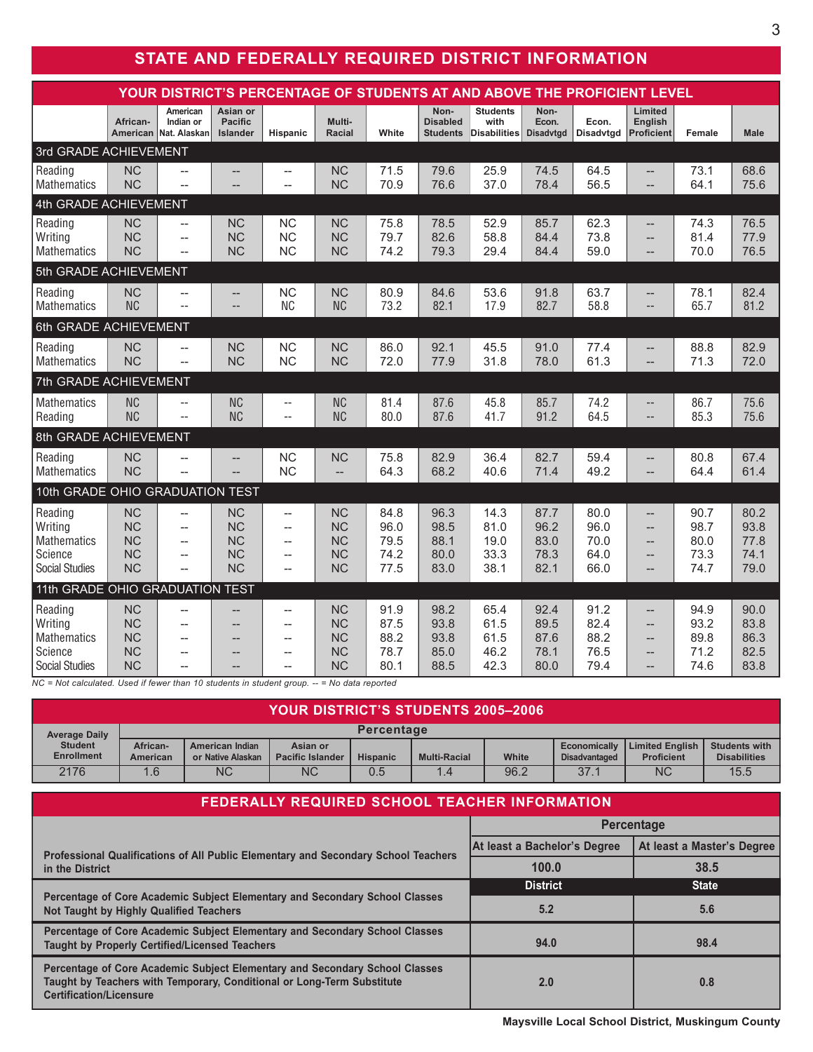# **STATE AND FEDERALLY REQUIRED DISTRICT INFORMATION**

| YOUR DISTRICT'S PERCENTAGE OF STUDENTS AT AND ABOVE THE PROFICIENT LEVEL                                          |                                                               |                                                                                      |                                                               |                                                                                                |                                                                                      |                                      |                                            |                                                |                                      |                                      |                                                                            |                                      |                                      |
|-------------------------------------------------------------------------------------------------------------------|---------------------------------------------------------------|--------------------------------------------------------------------------------------|---------------------------------------------------------------|------------------------------------------------------------------------------------------------|--------------------------------------------------------------------------------------|--------------------------------------|--------------------------------------------|------------------------------------------------|--------------------------------------|--------------------------------------|----------------------------------------------------------------------------|--------------------------------------|--------------------------------------|
|                                                                                                                   | African-<br>American                                          | American<br>Indian or<br>Nat. Alaskan                                                | Asian or<br><b>Pacific</b><br><b>Islander</b>                 | Hispanic                                                                                       | Multi-<br><b>Racial</b>                                                              | White                                | Non-<br><b>Disabled</b><br><b>Students</b> | <b>Students</b><br>with<br><b>Disabilities</b> | Non-<br>Econ.<br><b>Disadvtad</b>    | Econ.<br><b>Disadvtgd</b>            | Limited<br><b>English</b><br><b>Proficient</b>                             | Female                               | <b>Male</b>                          |
| 3rd GRADE ACHIEVEMENT                                                                                             |                                                               |                                                                                      |                                                               |                                                                                                |                                                                                      |                                      |                                            |                                                |                                      |                                      |                                                                            |                                      |                                      |
| Reading<br><b>Mathematics</b>                                                                                     | <b>NC</b><br><b>NC</b>                                        | $\overline{\phantom{0}}$                                                             | --                                                            | $\qquad \qquad -$                                                                              | <b>NC</b><br><b>NC</b>                                                               | 71.5<br>70.9                         | 79.6<br>76.6                               | 25.9<br>37.0                                   | 74.5<br>78.4                         | 64.5<br>56.5                         | --                                                                         | 73.1<br>64.1                         | 68.6<br>75.6                         |
| 4th GRADE ACHIEVEMENT                                                                                             |                                                               |                                                                                      |                                                               |                                                                                                |                                                                                      |                                      |                                            |                                                |                                      |                                      |                                                                            |                                      |                                      |
| Reading<br>Writing<br><b>Mathematics</b>                                                                          | <b>NC</b><br><b>NC</b><br><b>NC</b>                           | $\overline{\phantom{a}}$<br>$\overline{\phantom{a}}$<br>$\overline{\phantom{0}}$     | <b>NC</b><br><b>NC</b><br><b>NC</b>                           | <b>NC</b><br><b>NC</b><br><b>NC</b>                                                            | <b>NC</b><br><b>NC</b><br><b>NC</b>                                                  | 75.8<br>79.7<br>74.2                 | 78.5<br>82.6<br>79.3                       | 52.9<br>58.8<br>29.4                           | 85.7<br>84.4<br>84.4                 | 62.3<br>73.8<br>59.0                 | --<br>--<br>--                                                             | 74.3<br>81.4<br>70.0                 | 76.5<br>77.9<br>76.5                 |
| 5th GRADE ACHIEVEMENT                                                                                             |                                                               |                                                                                      |                                                               |                                                                                                |                                                                                      |                                      |                                            |                                                |                                      |                                      |                                                                            |                                      |                                      |
| Reading<br><b>Mathematics</b>                                                                                     | <b>NC</b><br><b>NC</b>                                        | $\overline{a}$<br>$\overline{a}$                                                     | --<br>--                                                      | <b>NC</b><br><b>NC</b>                                                                         | <b>NC</b><br><b>NC</b>                                                               | 80.9<br>73.2                         | 84.6<br>82.1                               | 53.6<br>17.9                                   | 91.8<br>82.7                         | 63.7<br>58.8                         | --<br>--                                                                   | 78.1<br>65.7                         | 82.4<br>81.2                         |
| 6th GRADE ACHIEVEMENT                                                                                             |                                                               |                                                                                      |                                                               |                                                                                                |                                                                                      |                                      |                                            |                                                |                                      |                                      |                                                                            |                                      |                                      |
| Reading<br>Mathematics                                                                                            | <b>NC</b><br><b>NC</b>                                        | $\overline{\phantom{a}}$<br>$\overline{a}$                                           | <b>NC</b><br><b>NC</b>                                        | <b>NC</b><br><b>NC</b>                                                                         | <b>NC</b><br><b>NC</b>                                                               | 86.0<br>72.0                         | 92.1<br>77.9                               | 45.5<br>31.8                                   | 91.0<br>78.0                         | 77.4<br>61.3                         | --<br>$-$                                                                  | 88.8<br>71.3                         | 82.9<br>72.0                         |
| 7th GRADE ACHIEVEMENT                                                                                             |                                                               |                                                                                      |                                                               |                                                                                                |                                                                                      |                                      |                                            |                                                |                                      |                                      |                                                                            |                                      |                                      |
| Mathematics<br>Reading                                                                                            | <b>NC</b><br><b>NC</b>                                        | $\overline{\phantom{a}}$<br>$\overline{\phantom{a}}$                                 | <b>NC</b><br><b>NC</b>                                        | $-$<br>Ξ.                                                                                      | <b>NC</b><br><b>NC</b>                                                               | 81.4<br>80.0                         | 87.6<br>87.6                               | 45.8<br>41.7                                   | 85.7<br>91.2                         | 74.2<br>64.5                         | --<br>$\qquad \qquad -$                                                    | 86.7<br>85.3                         | 75.6<br>75.6                         |
| 8th GRADE ACHIEVEMENT                                                                                             |                                                               |                                                                                      |                                                               |                                                                                                |                                                                                      |                                      |                                            |                                                |                                      |                                      |                                                                            |                                      |                                      |
| Reading<br>Mathematics                                                                                            | <b>NC</b><br><b>NC</b>                                        | $-$<br>$\overline{a}$                                                                | --                                                            | <b>NC</b><br><b>NC</b>                                                                         | <b>NC</b><br>$\overline{\phantom{a}}$                                                | 75.8<br>64.3                         | 82.9<br>68.2                               | 36.4<br>40.6                                   | 82.7<br>71.4                         | 59.4<br>49.2                         | --<br>$\overline{\phantom{0}}$                                             | 80.8<br>64.4                         | 67.4<br>61.4                         |
| 10th GRADE OHIO GRADUATION TEST                                                                                   |                                                               |                                                                                      |                                                               |                                                                                                |                                                                                      |                                      |                                            |                                                |                                      |                                      |                                                                            |                                      |                                      |
| Reading<br>Writing<br><b>Mathematics</b><br>Science<br><b>Social Studies</b>                                      | <b>NC</b><br><b>NC</b><br><b>NC</b><br><b>NC</b><br><b>NC</b> | $\overline{a}$<br>$\overline{\phantom{a}}$<br>$-$<br>$\overline{\phantom{a}}$<br>$-$ | <b>NC</b><br><b>NC</b><br><b>NC</b><br><b>NC</b><br><b>NC</b> | $\overline{\phantom{0}}$<br>$\overline{\phantom{a}}$<br>$-$<br>$\overline{\phantom{0}}$<br>$-$ | <b>NC</b><br><b>NC</b><br><b>NC</b><br><b>NC</b><br><b>NC</b>                        | 84.8<br>96.0<br>79.5<br>74.2<br>77.5 | 96.3<br>98.5<br>88.1<br>80.0<br>83.0       | 14.3<br>81.0<br>19.0<br>33.3<br>38.1           | 87.7<br>96.2<br>83.0<br>78.3<br>82.1 | 80.0<br>96.0<br>70.0<br>64.0<br>66.0 | --<br>$\overline{\phantom{a}}$<br>$-$<br>$-$<br>--                         | 90.7<br>98.7<br>80.0<br>73.3<br>74.7 | 80.2<br>93.8<br>77.8<br>74.1<br>79.0 |
| 11th GRADE OHIO GRADUATION TEST                                                                                   |                                                               |                                                                                      |                                                               |                                                                                                |                                                                                      |                                      |                                            |                                                |                                      |                                      |                                                                            |                                      |                                      |
| Reading<br>Writing<br>Mathematics<br>Science<br><b>Social Studies</b><br>$MO = Not$ coloulated Used if fouranthen | <b>NC</b><br><b>NC</b><br><b>NC</b><br><b>NC</b><br><b>NC</b> | $-$<br>$\overline{a}$<br>--<br>$\overline{a}$<br>10                                  | $\overline{a}$<br>--<br>--<br>$\overline{a}$<br>nta in        | --<br>$-$<br>$\overline{a}$<br>--<br>$=$                                                       | <b>NC</b><br><b>NC</b><br><b>NC</b><br><b>NC</b><br><b>NC</b><br>$-Ma$ data reported | 91.9<br>87.5<br>88.2<br>78.7<br>80.1 | 98.2<br>93.8<br>93.8<br>85.0<br>88.5       | 65.4<br>61.5<br>61.5<br>46.2<br>42.3           | 92.4<br>89.5<br>87.6<br>78.1<br>80.0 | 91.2<br>82.4<br>88.2<br>76.5<br>79.4 | --<br>$\overline{\phantom{a}}$<br>$-$<br>$- -$<br>$\overline{\phantom{0}}$ | 94.9<br>93.2<br>89.8<br>71.2<br>74.6 | 90.0<br>83.8<br>86.3<br>82.5<br>83.8 |

*NC = Not calculated. Used if fewer than 10 students in student group. -- = No data reported* 

| <b>YOUR DISTRICT'S STUDENTS 2005-2006</b> |                      |                                      |                                     |                   |                     |       |                                      |                                             |                                             |
|-------------------------------------------|----------------------|--------------------------------------|-------------------------------------|-------------------|---------------------|-------|--------------------------------------|---------------------------------------------|---------------------------------------------|
| <b>Average Daily</b>                      |                      |                                      |                                     | <b>Percentage</b> |                     |       |                                      |                                             |                                             |
| <b>Student</b><br><b>Enrollment</b>       | African-<br>American | American Indian<br>or Native Alaskan | Asian or<br><b>Pacific Islander</b> | <b>Hispanic</b>   | <b>Multi-Racial</b> | White | Economically<br><b>Disadvantaged</b> | <b>Limited English</b><br><b>Proficient</b> | <b>Students with</b><br><b>Disabilities</b> |
| 2176                                      | 1.6                  | <b>NC</b>                            | <b>NC</b>                           | 0.5               | 1.4                 | 96.2  | 37.1                                 | <b>NC</b>                                   | 15.5                                        |

| <b>FEDERALLY REQUIRED SCHOOL TEACHER INFORMATION</b>                                                                                                                                    |                              |                            |  |  |  |  |  |
|-----------------------------------------------------------------------------------------------------------------------------------------------------------------------------------------|------------------------------|----------------------------|--|--|--|--|--|
|                                                                                                                                                                                         | <b>Percentage</b>            |                            |  |  |  |  |  |
| Professional Qualifications of All Public Elementary and Secondary School Teachers                                                                                                      | At least a Bachelor's Degree | At least a Master's Degree |  |  |  |  |  |
| in the District                                                                                                                                                                         | 100.0                        | 38.5                       |  |  |  |  |  |
|                                                                                                                                                                                         | <b>District</b>              | <b>State</b>               |  |  |  |  |  |
| Percentage of Core Academic Subject Elementary and Secondary School Classes<br>Not Taught by Highly Qualified Teachers                                                                  | 5.2                          | 5.6                        |  |  |  |  |  |
| Percentage of Core Academic Subject Elementary and Secondary School Classes<br><b>Taught by Properly Certified/Licensed Teachers</b>                                                    | 94.0                         | 98.4                       |  |  |  |  |  |
| Percentage of Core Academic Subject Elementary and Secondary School Classes<br>Taught by Teachers with Temporary, Conditional or Long-Term Substitute<br><b>Certification/Licensure</b> | 2.0                          | 0.8                        |  |  |  |  |  |

**Maysville Local School District, Muskingum County**